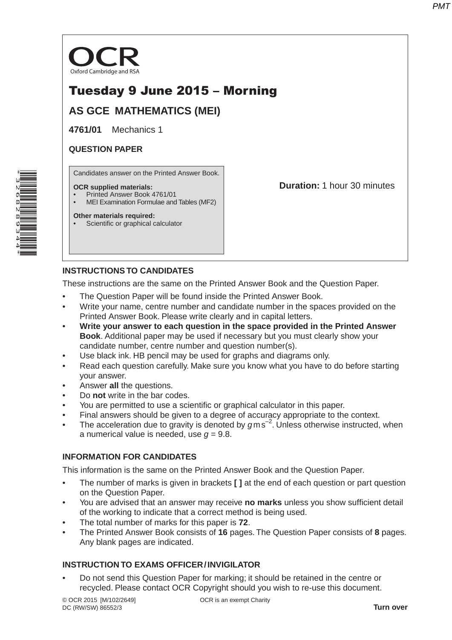

# Tuesday 9 June 2015 – Morning

**AS GCE MATHEMATICS (MEI)**

**4761/01** Mechanics 1

# **QUESTION PAPER**

\*سا N 6 $^\alpha$ N  $^\alpha$ 6 سا 4 4 \* Candidates answer on the Printed Answer Book.

#### **OCR supplied materials:**

- Printed Answer Book 4761/01
- MEI Examination Formulae and Tables (MF2)

#### **Other materials required:**

Scientific or graphical calculator

**Duration:** 1 hour 30 minutes

#### **INSTRUCTIONS TO CANDIDATES**

These instructions are the same on the Printed Answer Book and the Question Paper.

- The Question Paper will be found inside the Printed Answer Book.
- Write your name, centre number and candidate number in the spaces provided on the Printed Answer Book. Please write clearly and in capital letters.
- **Write your answer to each question in the space provided in the Printed Answer Book**. Additional paper may be used if necessary but you must clearly show your candidate number, centre number and question number(s).
- Use black ink. HB pencil may be used for graphs and diagrams only.
- Read each question carefully. Make sure you know what you have to do before starting your answer.
- Answer **all** the questions.
- Do **not** write in the bar codes.
- You are permitted to use a scientific or graphical calculator in this paper.
- Final answers should be given to a degree of accuracy appropriate to the context.
- The acceleration due to gravity is denoted by  $g$  m s<sup>-2</sup>. Unless otherwise instructed, when a numerical value is needed, use  $q = 9.8$ .

# **INFORMATION FOR CANDIDATES**

This information is the same on the Printed Answer Book and the Question Paper.

- The number of marks is given in brackets **[ ]** at the end of each question or part question on the Question Paper.
- You are advised that an answer may receive **no marks** unless you show sufficient detail of the working to indicate that a correct method is being used.
- The total number of marks for this paper is **72**.
- The Printed Answer Book consists of **16** pages. The Question Paper consists of **8** pages. Any blank pages are indicated.

# **INSTRUCTION TO EXAMS OFFICER / INVIGILATOR**

• Do not send this Question Paper for marking; it should be retained in the centre or recycled. Please contact OCR Copyright should you wish to re-use this document.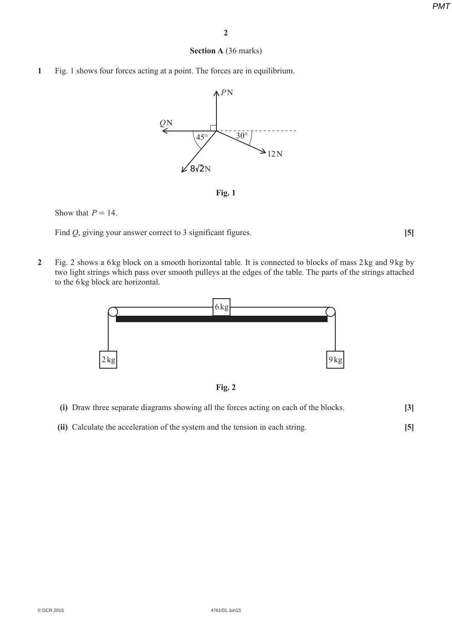#### **Section A** (36 marks)

**1** Fig. 1 shows four forces acting at a point. The forces are in equilibrium.



**Fig. 1**

Show that  $P = 14$ .

Find *Q*, giving your answer correct to 3 significant figures. **[5]** 

**2** Fig. 2 shows a 6 kg block on a smooth horizontal table. It is connected to blocks of mass 2 kg and 9 kg by two light strings which pass over smooth pulleys at the edges of the table. The parts of the strings attached to the 6 kg block are horizontal.





 **(i)** Draw three separate diagrams showing all the forces acting on each of the blocks. **[3] (ii)** Calculate the acceleration of the system and the tension in each string. **[5]**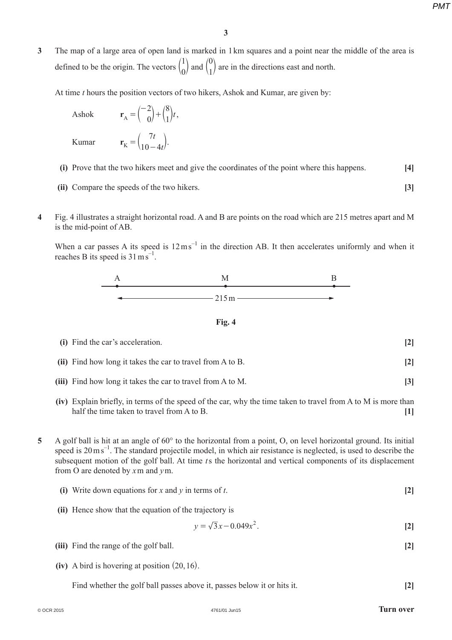**3** The map of a large area of open land is marked in 1 km squares and a point near the middle of the area is defined to be the origin. The vectors  $\begin{pmatrix} 1 \\ 0 \end{pmatrix}$  and  $\begin{pmatrix} 0 \\ 1 \end{pmatrix}$  are in the directions east and north.

At time *t* hours the position vectors of two hikers, Ashok and Kumar, are given by:

Ashok  $\mathbf{r}_{\mathbf{A}} = \begin{pmatrix} 2 \\ 0 \end{pmatrix} + \begin{pmatrix} 0 \\ 1 \end{pmatrix} t$ 2  $\overline{0}$  $\mathbf{r}_{A} = \begin{pmatrix} -2 \\ 0 \end{pmatrix} + \begin{pmatrix} 8 \\ 1 \end{pmatrix} t,$ *t* 7

*t*

 $\mathbf{r}_{\rm K} = \begin{pmatrix} 1 & t \\ 1 & -4t \end{pmatrix}.$ 

Kumar

- **(i)** Prove that the two hikers meet and give the coordinates of the point where this happens. **[4]**
- **(ii)** Compare the speeds of the two hikers. **[3]**
- **4** Fig. 4 illustrates a straight horizontal road. A and B are points on the road which are 215 metres apart and M is the mid-point of AB.

When a car passes A its speed is  $12 \text{ m s}^{-1}$  in the direction AB. It then accelerates uniformly and when it reaches B its speed is  $31 \text{ m s}^{-1}$ .

| $\frac{\ }{\ }$ 215 m |  |
|-----------------------|--|

**Fig. 4**

 **(i)** Find the car's acceleration. **[2] (ii)** Find how long it takes the car to travel from A to B. **[2]**

- **(iii)** Find how long it takes the car to travel from A to M. **[3]**
- **(iv)** Explain briefly, in terms of the speed of the car, why the time taken to travel from A to M is more than half the time taken to travel from A to B. **[1]**
- **5** A golf ball is hit at an angle of 60° to the horizontal from a point, O, on level horizontal ground. Its initial speed is  $20 \text{ m s}^{-1}$ . The standard projectile model, in which air resistance is neglected, is used to describe the subsequent motion of the golf ball. At time *t* s the horizontal and vertical components of its displacement from O are denoted by *x* m and *y* m.
	- **(i)** Write down equations for *x* and *y* in terms of *t*.  $[2]$
	- **(ii)** Hence show that the equation of the trajectory is

$$
y = \sqrt{3}x - 0.049x^2.
$$
 [2]

- **(iii)** Find the range of the golf ball. **[2]**
- $(iv)$  A bird is hovering at position  $(20, 16)$ .

Find whether the golf ball passes above it, passes below it or hits it. **[2]**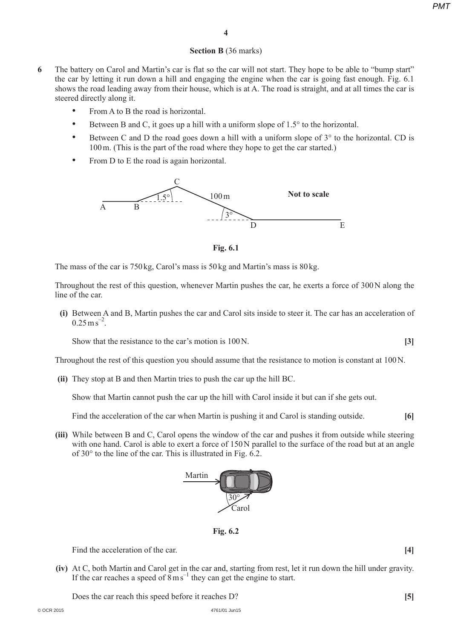#### **Section B** (36 marks)

- **6** The battery on Carol and Martin's car is flat so the car will not start. They hope to be able to "bump start" the car by letting it run down a hill and engaging the engine when the car is going fast enough. Fig. 6.1 shows the road leading away from their house, which is at A. The road is straight, and at all times the car is steered directly along it.
	- From A to B the road is horizontal.
	- Between B and C, it goes up a hill with a uniform slope of 1.5° to the horizontal.
	- Between C and D the road goes down a hill with a uniform slope of 3<sup>o</sup> to the horizontal. CD is 100 m. (This is the part of the road where they hope to get the car started.)
	- From D to E the road is again horizontal.





The mass of the car is  $750 \text{kg}$ , Carol's mass is  $50 \text{kg}$  and Martin's mass is  $80 \text{kg}$ .

Throughout the rest of this question, whenever Martin pushes the car, he exerts a force of 300 N along the line of the car.

 **(i)** Between A and B, Martin pushes the car and Carol sits inside to steer it. The car has an acceleration of  $0.25 \,\mathrm{m\,s}^{-2}$ .

**Show that the resistance to the car's motion is 100 N. [3]** 

Throughout the rest of this question you should assume that the resistance to motion is constant at 100 N.

 **(ii)** They stop at B and then Martin tries to push the car up the hill BC.

Show that Martin cannot push the car up the hill with Carol inside it but can if she gets out.

Find the acceleration of the car when Martin is pushing it and Carol is standing outside. **[6]**

 **(iii)** While between B and C, Carol opens the window of the car and pushes it from outside while steering with one hand. Carol is able to exert a force of 150 N parallel to the surface of the road but at an angle of 30° to the line of the car. This is illustrated in Fig. 6.2.



**Fig. 6.2**

**Find the acceleration of the car. [4]** *All all acceleration of the car.*

 **(iv)** At C, both Martin and Carol get in the car and, starting from rest, let it run down the hill under gravity. If the car reaches a speed of  $8 \text{ m s}^{-1}$  they can get the engine to start.

**Does the car reach this speed before it reaches D?** [5]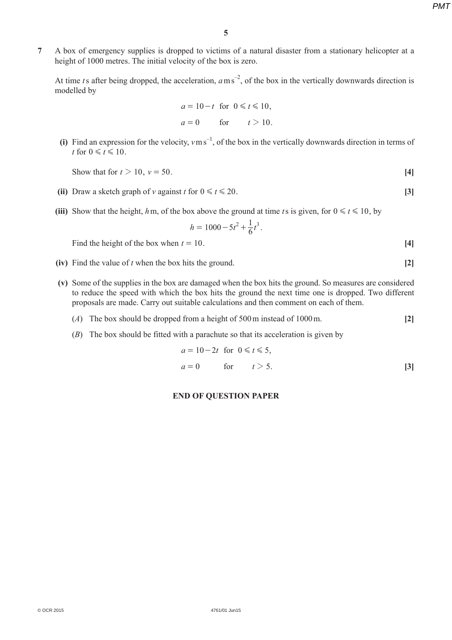**7** A box of emergency supplies is dropped to victims of a natural disaster from a stationary helicopter at a height of 1000 metres. The initial velocity of the box is zero.

At time *t* s after being dropped, the acceleration,  $a$  m s<sup>-2</sup>, of the box in the vertically downwards direction is modelled by

$$
a = 10 - t \text{ for } 0 \le t \le 10,
$$
  

$$
a = 0 \qquad \text{for} \qquad t > 10.
$$

(i) Find an expression for the velocity,  $v \, \text{m s}^{-1}$ , of the box in the vertically downwards direction in terms of *t* for  $0 \le t \le 10$ .

 **Show that for**  $t > 10$ ,  $v = 50$ . [4]

- (ii) Draw a sketch graph of *v* against *t* for  $0 \le t \le 20$ . [3]
- (iii) Show that the height, *h* m, of the box above the ground at time *t* s is given, for  $0 \le t \le 10$ , by

$$
h = 1000 - 5t^2 + \frac{1}{6}t^3.
$$

Find the height of the box when  $t = 10$ . [4]

- **(iv)** Find the value of *t* when the box hits the ground. **[2]**
- **(v)** Some of the supplies in the box are damaged when the box hits the ground. So measures are considered to reduce the speed with which the box hits the ground the next time one is dropped. Two different proposals are made. Carry out suitable calculations and then comment on each of them.
	- (*A*) The box should be dropped from a height of 500 m instead of 1000 m. **[2]**
	- (*B*) The box should be fitted with a parachute so that its acceleration is given by

$$
a = 10 - 2t \quad \text{for} \quad 0 \leq t \leq 5,
$$
\n
$$
a = 0 \qquad \qquad \text{for} \qquad t > 5.
$$
\n
$$
\tag{3}
$$

#### **END OF QUESTION PAPER**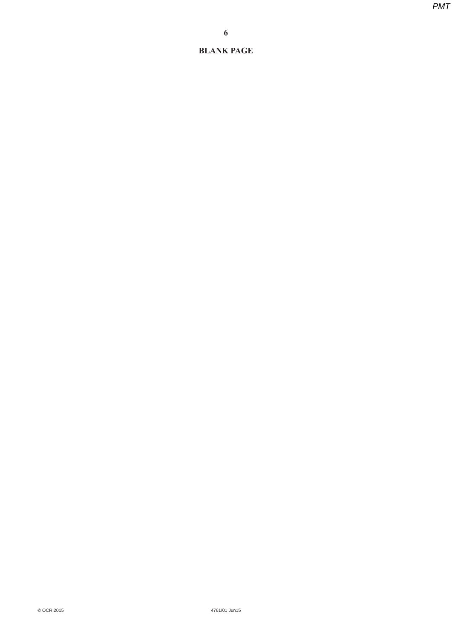# **BLANK PAGE**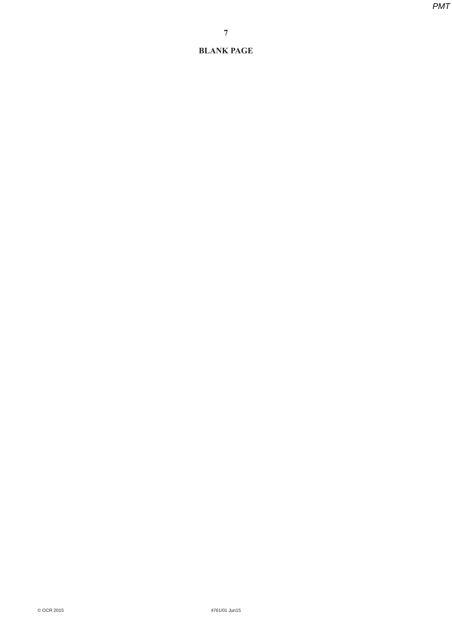# **BLANK PAGE**